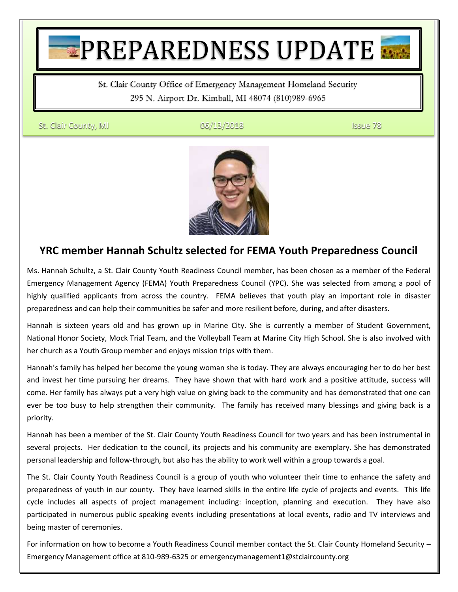# TPREPAREDNESS UPDATE

St. Clair County Office of Emergency Management Homeland Security 295 N. Airport Dr. Kimball, MI 48074 (810)989-6965

St. Clair County, MI 06/13/2018 Issue 78



### **YRC member Hannah Schultz selected for FEMA Youth Preparedness Council**

Ms. Hannah Schultz, a St. Clair County Youth Readiness Council member, has been chosen as a member of the Federal Emergency Management Agency (FEMA) Youth Preparedness Council (YPC). She was selected from among a pool of highly qualified applicants from across the country. FEMA believes that youth play an important role in disaster preparedness and can help their communities be safer and more resilient before, during, and after disasters.

Hannah is sixteen years old and has grown up in Marine City. She is currently a member of Student Government, National Honor Society, Mock Trial Team, and the Volleyball Team at Marine City High School. She is also involved with her church as a Youth Group member and enjoys mission trips with them.

Hannah's family has helped her become the young woman she is today. They are always encouraging her to do her best and invest her time pursuing her dreams. They have shown that with hard work and a positive attitude, success will come. Her family has always put a very high value on giving back to the community and has demonstrated that one can ever be too busy to help strengthen their community. The family has received many blessings and giving back is a priority.

Hannah has been a member of the St. Clair County Youth Readiness Council for two years and has been instrumental in several projects. Her dedication to the council, its projects and his community are exemplary. She has demonstrated personal leadership and follow-through, but also has the ability to work well within a group towards a goal.

The St. Clair County Youth Readiness Council is a group of youth who volunteer their time to enhance the safety and preparedness of youth in our county. They have learned skills in the entire life cycle of projects and events. This life cycle includes all aspects of project management including: inception, planning and execution. They have also participated in numerous public speaking events including presentations at local events, radio and TV interviews and being master of ceremonies.

For information on how to become a Youth Readiness Council member contact the St. Clair County Homeland Security – Emergency Management office at 810-989-6325 or emergencymanagement1@stclaircounty.org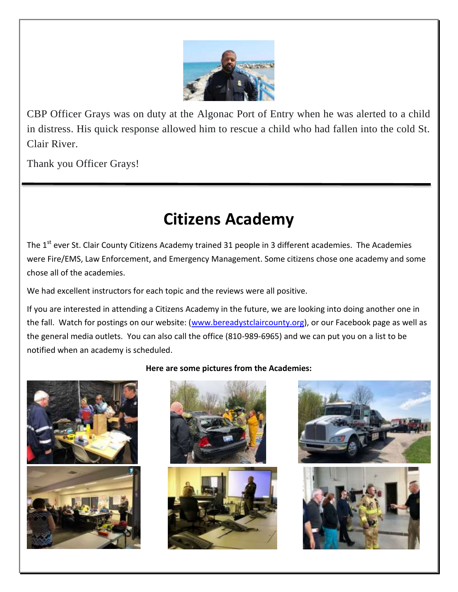

CBP Officer Grays was on duty at the Algonac Port of Entry when he was alerted to a child in distress. His quick response allowed him to rescue a child who had fallen into the cold St. Clair River.

Thank you Officer Grays!

### **Citizens Academy**

The 1<sup>st</sup> ever St. Clair County Citizens Academy trained 31 people in 3 different academies. The Academies were Fire/EMS, Law Enforcement, and Emergency Management. Some citizens chose one academy and some chose all of the academies.

We had excellent instructors for each topic and the reviews were all positive.

If you are interested in attending a Citizens Academy in the future, we are looking into doing another one in the fall. Watch for postings on our website: [\(www.bereadystclaircounty.org\)](http://www.bereadystclaircounty.org/), or our Facebook page as well as the general media outlets. You can also call the office (810-989-6965) and we can put you on a list to be notified when an academy is scheduled.



#### **Here are some pictures from the Academies:**







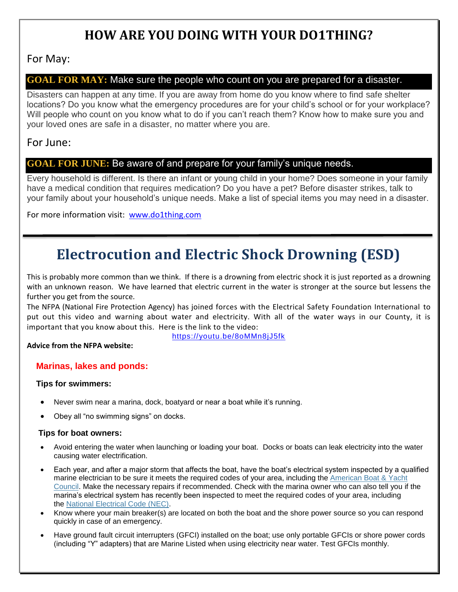### **HOW ARE YOU DOING WITH YOUR DO1THING?**

For May:

#### **GOAL FOR MAY:** Make sure the people who count on you are prepared for a disaster.

Disasters can happen at any time. If you are away from home do you know where to find safe shelter locations? Do you know what the emergency procedures are for your child's school or for your workplace? Will people who count on you know what to do if you can't reach them? Know how to make sure you and your loved ones are safe in a disaster, no matter where you are.

#### For June:

#### **GOAL FOR JUNE:** Be aware of and prepare for your family's unique needs.

Every household is different. Is there an infant or young child in your home? Does someone in your family have a medical condition that requires medication? Do you have a pet? Before disaster strikes, talk to your family about your household's unique needs. Make a list of special items you may need in a disaster.

For more information visit: [www.do1thing.com](http://www.do1thing.com/)

### **Electrocution and Electric Shock Drowning (ESD)**

This is probably more common than we think. If there is a drowning from electric shock it is just reported as a drowning with an unknown reason. We have learned that electric current in the water is stronger at the source but lessens the further you get from the source.

The NFPA (National Fire Protection Agency) has joined forces with the Electrical Safety Foundation International to put out this video and warning about water and electricity. With all of the water ways in our County, it is important that you know about this. Here is the link to the video:

**Advice from the NFPA website:**

<https://youtu.be/8oMMn8jJ5fk>

#### **Marinas, lakes and ponds:**

#### **Tips for swimmers:**

- Never swim near a marina, dock, boatyard or near a boat while it's running.
- Obey all "no swimming signs" on docks.

#### **Tips for boat owners:**

- Avoid entering the water when launching or loading your boat. Docks or boats can leak electricity into the water causing water electrification.
- Each year, and after a major storm that affects the boat, have the boat's electrical system inspected by a qualified marine electrician to be sure it meets the required codes of your area, including the [American Boat & Yacht](http://abycinc.org/)  [Council.](http://abycinc.org/) Make the necessary repairs if recommended. Check with the marina owner who can also tell you if the marina's electrical system has recently been inspected to meet the required codes of your area, including the [National Electrical Code \(NEC\).](http://www.nfpa.org/codes-and-standards/all-codes-and-standards/list-of-codes-and-standards/detail?code=70)
- Know where your main breaker(s) are located on both the boat and the shore power source so you can respond quickly in case of an emergency.
- Have ground fault circuit interrupters (GFCI) installed on the boat; use only portable GFCIs or shore power cords (including "Y" adapters) that are Marine Listed when using electricity near water. Test GFCIs monthly.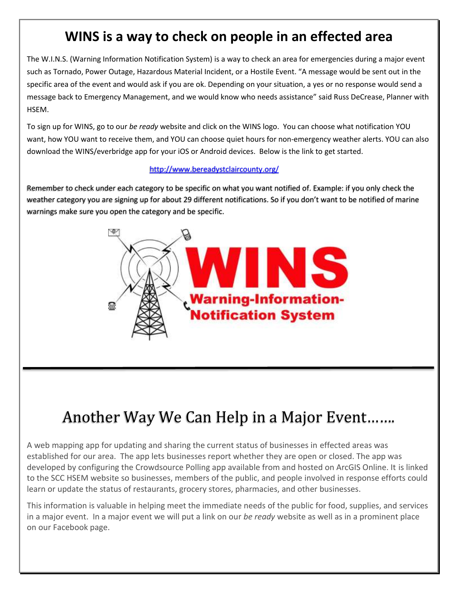### **WINS is a way to check on people in an effected area**

The W.I.N.S. (Warning Information Notification System) is a way to check an area for emergencies during a major event such as Tornado, Power Outage, Hazardous Material Incident, or a Hostile Event. "A message would be sent out in the specific area of the event and would ask if you are ok. Depending on your situation, a yes or no response would send a message back to Emergency Management, and we would know who needs assistance" said Russ DeCrease, Planner with HSEM.

To sign up for WINS, go to our *be ready* website and click on the WINS logo. You can choose what notification YOU want, how YOU want to receive them, and YOU can choose quiet hours for non-emergency weather alerts. YOU can also download the WINS/everbridge app for your iOS or Android devices. Below is the link to get started.

#### <http://www.bereadystclaircounty.org/>

Remember to check under each category to be specific on what you want notified of. Example: if you only check the weather category you are signing up for about 29 different notifications. So if you don't want to be notified of marine warnings make sure you open the category and be specific.



### Another Way We Can Help in a Major Event.

A web mapping app for updating and sharing the current status of businesses in effected areas was established for our area. The app lets businesses report whether they are open or closed. The app was developed by configuring the Crowdsource Polling app available from and hosted on ArcGIS Online. It is linked to the SCC HSEM website so businesses, members of the public, and people involved in response efforts could learn or update the status of restaurants, grocery stores, pharmacies, and other businesses.

This information is valuable in helping meet the immediate needs of the public for food, supplies, and services in a major event. In a major event we will put a link on our *be ready* website as well as in a prominent place on our Facebook page.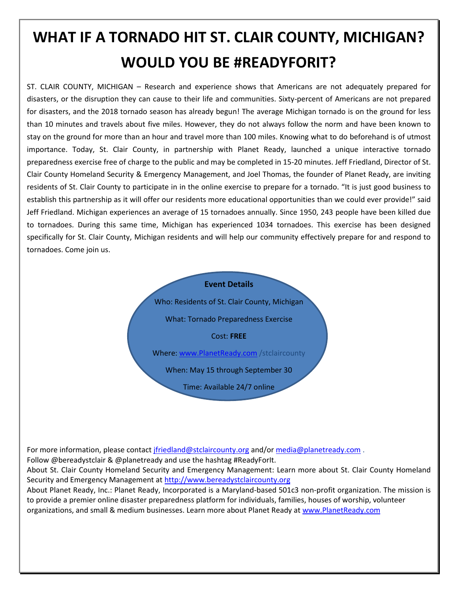## **WHAT IF A TORNADO HIT ST. CLAIR COUNTY, MICHIGAN? WOULD YOU BE #READYFORIT?**

ST. CLAIR COUNTY, MICHIGAN – Research and experience shows that Americans are not adequately prepared for disasters, or the disruption they can cause to their life and communities. Sixty-percent of Americans are not prepared for disasters, and the 2018 tornado season has already begun! The average Michigan tornado is on the ground for less than 10 minutes and travels about five miles. However, they do not always follow the norm and have been known to stay on the ground for more than an hour and travel more than 100 miles. Knowing what to do beforehand is of utmost importance. Today, St. Clair County, in partnership with Planet Ready, launched a unique interactive tornado preparedness exercise free of charge to the public and may be completed in 15-20 minutes. Jeff Friedland, Director of St. Clair County Homeland Security & Emergency Management, and Joel Thomas, the founder of Planet Ready, are inviting residents of St. Clair County to participate in in the online exercise to prepare for a tornado. "It is just good business to establish this partnership as it will offer our residents more educational opportunities than we could ever provide!" said Jeff Friedland. Michigan experiences an average of 15 tornadoes annually. Since 1950, 243 people have been killed due to tornadoes. During this same time, Michigan has experienced 1034 tornadoes. This exercise has been designed specifically for St. Clair County, Michigan residents and will help our community effectively prepare for and respond to tornadoes. Come join us.

> **Event Details** Who: Residents of St. Clair County, Michigan What: Tornado Preparedness Exercise Cost: **FREE** Where[: www.PlanetReady.com](http://www.planetready.com/) /stclaircounty When: May 15 through September 30 Time: Available 24/7 online

For more information, please contact [jfriedland@stclaircounty.org](mailto:jfriedland@stclaircounty.org) and/or [media@planetready.com](mailto:media@planetready.com) .

Follow @bereadystclair & @planetready and use the hashtag #ReadyForIt.

About St. Clair County Homeland Security and Emergency Management: Learn more about St. Clair County Homeland Security and Emergency Management at [http://www.bereadystclaircounty.org](http://www.bereadystclaircounty.org/)

About Planet Ready, Inc.: Planet Ready, Incorporated is a Maryland-based 501c3 non-profit organization. The mission is to provide a premier online disaster preparedness platform for individuals, families, houses of worship, volunteer organizations, and small & medium businesses. Learn more about Planet Ready at [www.PlanetReady.com](http://www.planetready.com/)